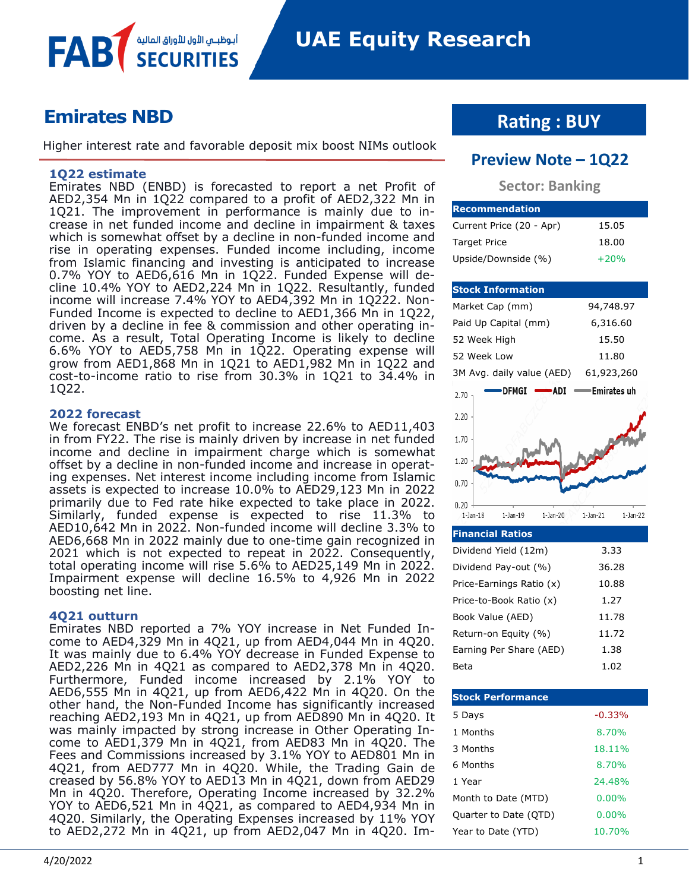

# **Emirates NBD**

Higher interest rate and favorable deposit mix boost NIMs outlook

أبوظبـي الأول للأوراق المالية

#### **1Q22 estimate**

FAB

Emirates NBD (ENBD) is forecasted to report a net Profit of AED2,354 Mn in 1Q22 compared to a profit of AED2,322 Mn in 1Q21. The improvement in performance is mainly due to increase in net funded income and decline in impairment & taxes which is somewhat offset by a decline in non-funded income and rise in operating expenses. Funded income including, income from Islamic financing and investing is anticipated to increase 0.7% YOY to AED6,616 Mn in 1Q22. Funded Expense will decline 10.4% YOY to AED2,224 Mn in 1Q22. Resultantly, funded income will increase 7.4% YOY to AED4,392 Mn in 1Q222. Non-Funded Income is expected to decline to AED1,366 Mn in 1Q22, driven by a decline in fee & commission and other operating income. As a result, Total Operating Income is likely to decline 6.6% YOY to AED5,758 Mn in 1Q22. Operating expense will grow from AED1,868 Mn in 1Q21 to AED1,982 Mn in 1Q22 and cost-to-income ratio to rise from 30.3% in 1Q21 to 34.4% in 1Q22.

#### **2022 forecast**

We forecast ENBD's net profit to increase 22.6% to AED11,403 in from FY22. The rise is mainly driven by increase in net funded income and decline in impairment charge which is somewhat offset by a decline in non-funded income and increase in operating expenses. Net interest income including income from Islamic assets is expected to increase 10.0% to AED29,123 Mn in 2022 primarily due to Fed rate hike expected to take place in 2022. Similarly, funded expense is expected to rise 11.3% to AED10,642 Mn in 2022. Non-funded income will decline 3.3% to AED6,668 Mn in 2022 mainly due to one-time gain recognized in 2021 which is not expected to repeat in 2022. Consequently, total operating income will rise 5.6% to AED25,149 Mn in 2022. Impairment expense will decline 16.5% to 4,926 Mn in 2022 boosting net line.

#### **4Q21 outturn**

Emirates NBD reported a 7% YOY increase in Net Funded Income to AED4,329 Mn in 4Q21, up from AED4,044 Mn in 4Q20. It was mainly due to 6.4% YOY decrease in Funded Expense to AED2,226 Mn in 4Q21 as compared to AED2,378 Mn in 4Q20. Furthermore, Funded income increased by 2.1% YOY to AED6,555 Mn in 4Q21, up from AED6,422 Mn in 4Q20. On the other hand, the Non-Funded Income has significantly increased reaching AED2,193 Mn in 4Q21, up from AED890 Mn in 4Q20. It was mainly impacted by strong increase in Other Operating Income to AED1,379 Mn in 4Q21, from AED83 Mn in 4Q20. The Fees and Commissions increased by 3.1% YOY to AED801 Mn in 4Q21, from AED777 Mn in 4Q20. While, the Trading Gain de creased by 56.8% YOY to AED13 Mn in 4Q21, down from AED29 Mn in 4Q20. Therefore, Operating Income increased by 32.2% YOY to AED6,521 Mn in 4Q21, as compared to AED4,934 Mn in 4Q20. Similarly, the Operating Expenses increased by 11% YOY to AED2,272 Mn in 4Q21, up from AED2,047 Mn in 4Q20. Im-

# **Rating : BUY**

## **Preview Note – 1Q22**

### **Sector: Banking**

| <b>Recommendation</b>    |        |
|--------------------------|--------|
| Current Price (20 - Apr) | 15.05  |
| <b>Target Price</b>      | 18.00  |
| Upside/Downside (%)      | $+20%$ |

### **Stock Information**

| Market Cap (mm)           |                |                   | 94,748.97                 |                |
|---------------------------|----------------|-------------------|---------------------------|----------------|
| Paid Up Capital (mm)      |                |                   | 6,316.60                  |                |
| 52 Week High              |                |                   | 15.50                     |                |
| 52 Week Low               |                |                   | 11.80                     |                |
| 3M Avg. daily value (AED) |                |                   | 61,923,260                |                |
| 2.70                      | DFMGI          | $\rightarrow$ ADI | <del>- E</del> mirates uh |                |
| 2.20                      |                |                   |                           |                |
| 1.70                      |                |                   |                           |                |
| 1.20                      |                |                   |                           |                |
| 0.70                      |                |                   |                           |                |
| 0.20<br>$1-$ Jan $-18$    | $1-$ Jan $-19$ | $1 - Jan - 20$    | $1 - Jan - 21$            | $1 - Jan - 22$ |
| <b>Financial Ratios</b>   |                |                   |                           |                |
| Dividend Yield (12m)      |                |                   | 3.33                      |                |
| Dividend Pay-out (%)      |                | 36.28             |                           |                |
| Price-Earnings Ratio (x)  |                | 10.88             |                           |                |
| Price-to-Book Ratio (x)   |                |                   | 1.27                      |                |
| Book Value (AED)          |                | 11.78             |                           |                |

| Book Value (AED)        | 11.78 |
|-------------------------|-------|
| Return-on Equity (%)    | 11.72 |
| Earning Per Share (AED) | 1.38  |
| Beta                    | 1.02  |

| <b>Stock Performance</b> |          |
|--------------------------|----------|
| 5 Days                   | $-0.33%$ |
| 1 Months                 | 8.70%    |
| 3 Months                 | 18.11%   |
| 6 Months                 | 8.70%    |
| 1 Year                   | 24.48%   |
| Month to Date (MTD)      | $0.00\%$ |
| Quarter to Date (QTD)    | $0.00\%$ |
| Year to Date (YTD)       | 10.70%   |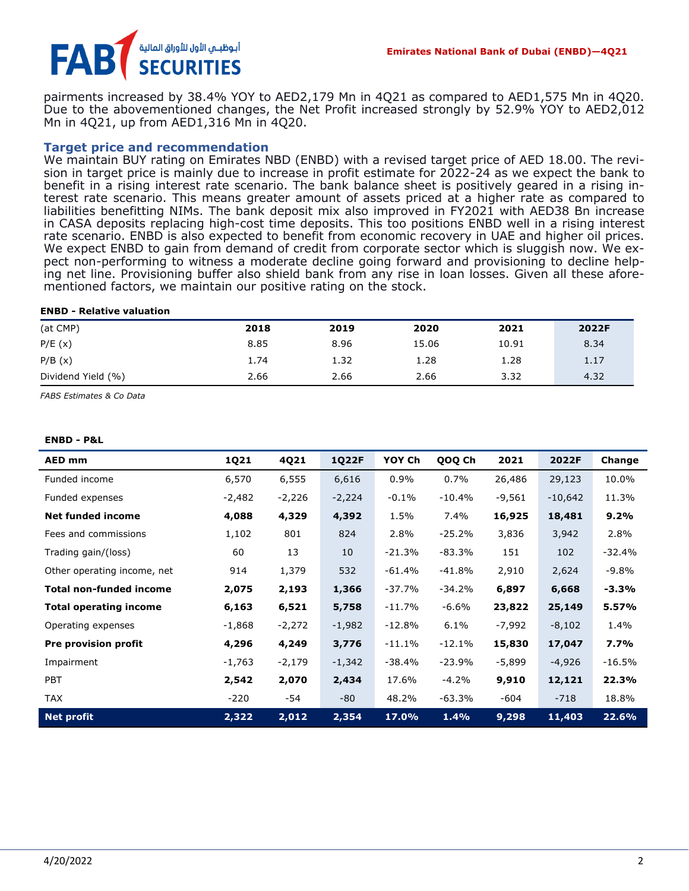

pairments increased by 38.4% YOY to AED2,179 Mn in 4Q21 as compared to AED1,575 Mn in 4Q20. Due to the abovementioned changes, the Net Profit increased strongly by 52.9% YOY to AED2,012 Mn in 4Q21, up from AED1,316 Mn in 4Q20.

#### **Target price and recommendation**

We maintain BUY rating on Emirates NBD (ENBD) with a revised target price of AED 18.00. The revision in target price is mainly due to increase in profit estimate for 2022-24 as we expect the bank to benefit in a rising interest rate scenario. The bank balance sheet is positively geared in a rising interest rate scenario. This means greater amount of assets priced at a higher rate as compared to liabilities benefitting NIMs. The bank deposit mix also improved in FY2021 with AED38 Bn increase in CASA deposits replacing high-cost time deposits. This too positions ENBD well in a rising interest rate scenario. ENBD is also expected to benefit from economic recovery in UAE and higher oil prices. We expect ENBD to gain from demand of credit from corporate sector which is sluggish now. We expect non-performing to witness a moderate decline going forward and provisioning to decline helping net line. Provisioning buffer also shield bank from any rise in loan losses. Given all these aforementioned factors, we maintain our positive rating on the stock.

#### **ENBD - Relative valuation**

| (at CMP)           | 2018 | 2019 | 2020  | 2021  | 2022F |
|--------------------|------|------|-------|-------|-------|
| P/E(x)             | 8.85 | 8.96 | 15.06 | 10.91 | 8.34  |
| P/B(x)             | 1.74 | 1.32 | 1.28  | 1.28  | 1.17  |
| Dividend Yield (%) | 2.66 | 2.66 | 2.66  | 3.32  | 4.32  |

*FABS Estimates & Co Data*

#### **ENBD - P&L**

| AED mm                         | 1Q21     | 4Q21     | 1Q22F    | YOY Ch    | QOQ Ch   | 2021     | 2022F     | Change   |
|--------------------------------|----------|----------|----------|-----------|----------|----------|-----------|----------|
| Funded income                  | 6,570    | 6,555    | 6,616    | 0.9%      | 0.7%     | 26,486   | 29,123    | 10.0%    |
| Funded expenses                | $-2,482$ | $-2,226$ | $-2,224$ | $-0.1%$   | $-10.4%$ | $-9,561$ | $-10,642$ | 11.3%    |
| <b>Net funded income</b>       | 4,088    | 4,329    | 4,392    | 1.5%      | 7.4%     | 16,925   | 18,481    | 9.2%     |
| Fees and commissions           | 1,102    | 801      | 824      | 2.8%      | $-25.2%$ | 3,836    | 3,942     | 2.8%     |
| Trading gain/(loss)            | 60       | 13       | 10       | $-21.3%$  | $-83.3%$ | 151      | 102       | $-32.4%$ |
| Other operating income, net    | 914      | 1,379    | 532      | $-61.4%$  | $-41.8%$ | 2,910    | 2,624     | $-9.8%$  |
| <b>Total non-funded income</b> | 2,075    | 2,193    | 1,366    | $-37.7%$  | $-34.2%$ | 6,897    | 6,668     | $-3.3%$  |
| <b>Total operating income</b>  | 6,163    | 6,521    | 5,758    | $-11.7\%$ | $-6.6%$  | 23,822   | 25,149    | 5.57%    |
| Operating expenses             | $-1,868$ | $-2,272$ | $-1,982$ | $-12.8%$  | 6.1%     | $-7,992$ | $-8,102$  | 1.4%     |
| <b>Pre provision profit</b>    | 4,296    | 4,249    | 3,776    | $-11.1%$  | $-12.1%$ | 15,830   | 17,047    | 7.7%     |
| Impairment                     | $-1,763$ | $-2,179$ | $-1,342$ | $-38.4%$  | $-23.9%$ | -5,899   | $-4,926$  | $-16.5%$ |
| PBT                            | 2,542    | 2,070    | 2,434    | 17.6%     | $-4.2%$  | 9,910    | 12,121    | 22.3%    |
| <b>TAX</b>                     | $-220$   | -54      | $-80$    | 48.2%     | $-63.3%$ | -604     | $-718$    | 18.8%    |
| <b>Net profit</b>              | 2,322    | 2,012    | 2,354    | 17.0%     | 1.4%     | 9,298    | 11,403    | 22.6%    |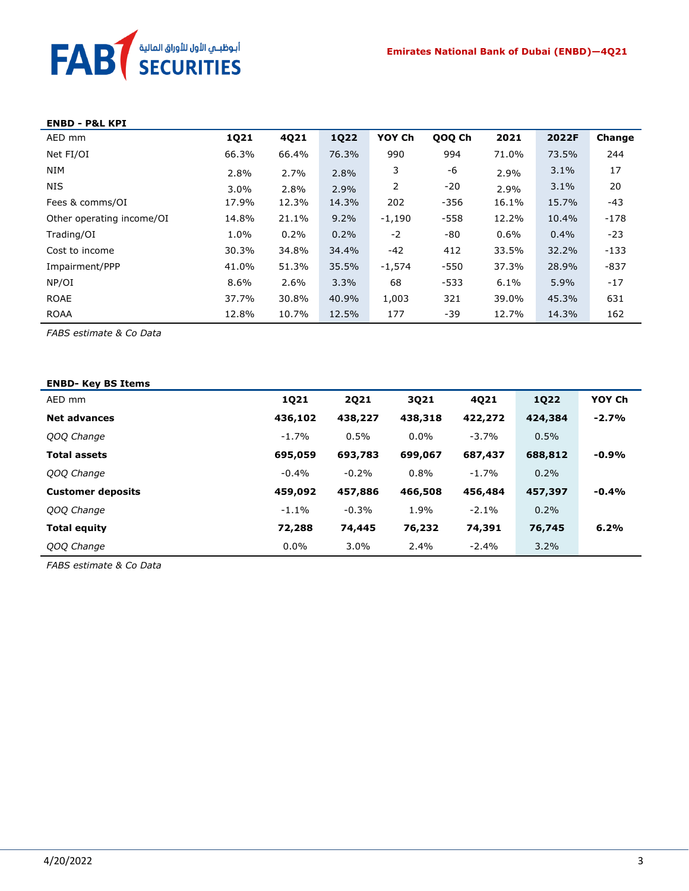

| <b>ENBD - P&amp;L KPI</b> |             |       |             |          |        |       |       |        |
|---------------------------|-------------|-------|-------------|----------|--------|-------|-------|--------|
| AED mm                    | <b>1Q21</b> | 4Q21  | <b>1Q22</b> | YOY Ch   | QOQ Ch | 2021  | 2022F | Change |
| Net FI/OI                 | 66.3%       | 66.4% | 76.3%       | 990      | 994    | 71.0% | 73.5% | 244    |
| NIM                       | 2.8%        | 2.7%  | 2.8%        | 3        | -6     | 2.9%  | 3.1%  | 17     |
| NIS                       | 3.0%        | 2.8%  | 2.9%        | 2        | $-20$  | 2.9%  | 3.1%  | 20     |
| Fees & comms/OI           | 17.9%       | 12.3% | 14.3%       | 202      | $-356$ | 16.1% | 15.7% | $-43$  |
| Other operating income/OI | 14.8%       | 21.1% | 9.2%        | $-1,190$ | $-558$ | 12.2% | 10.4% | $-178$ |
| Trading/OI                | 1.0%        | 0.2%  | 0.2%        | $-2$     | -80    | 0.6%  | 0.4%  | $-23$  |
| Cost to income            | 30.3%       | 34.8% | 34.4%       | $-42$    | 412    | 33.5% | 32.2% | $-133$ |
| Impairment/PPP            | 41.0%       | 51.3% | 35.5%       | $-1,574$ | $-550$ | 37.3% | 28.9% | $-837$ |
| NP/OI                     | 8.6%        | 2.6%  | 3.3%        | 68       | $-533$ | 6.1%  | 5.9%  | $-17$  |
| <b>ROAE</b>               | 37.7%       | 30.8% | 40.9%       | 1,003    | 321    | 39.0% | 45.3% | 631    |
| <b>ROAA</b>               | 12.8%       | 10.7% | 12.5%       | 177      | -39    | 12.7% | 14.3% | 162    |

*FABS estimate & Co Data*

| <b>ENBD- Key BS Items</b> |          |         |         |         |         |         |
|---------------------------|----------|---------|---------|---------|---------|---------|
| AED mm                    | 1Q21     | 2021    | 3021    | 4021    | 1022    | YOY Ch  |
| <b>Net advances</b>       | 436,102  | 438,227 | 438,318 | 422,272 | 424,384 | $-2.7%$ |
| QOQ Change                | $-1.7%$  | 0.5%    | $0.0\%$ | $-3.7%$ | 0.5%    |         |
| <b>Total assets</b>       | 695,059  | 693,783 | 699,067 | 687,437 | 688,812 | $-0.9%$ |
| QOQ Change                | $-0.4\%$ | $-0.2%$ | 0.8%    | $-1.7%$ | 0.2%    |         |
| <b>Customer deposits</b>  | 459,092  | 457,886 | 466,508 | 456,484 | 457,397 | $-0.4%$ |
| QOQ Change                | $-1.1\%$ | $-0.3%$ | 1.9%    | $-2.1%$ | 0.2%    |         |
| <b>Total equity</b>       | 72,288   | 74,445  | 76,232  | 74,391  | 76,745  | 6.2%    |
| QOQ Change                | $0.0\%$  | $3.0\%$ | 2.4%    | $-2.4%$ | $3.2\%$ |         |

*FABS estimate & Co Data*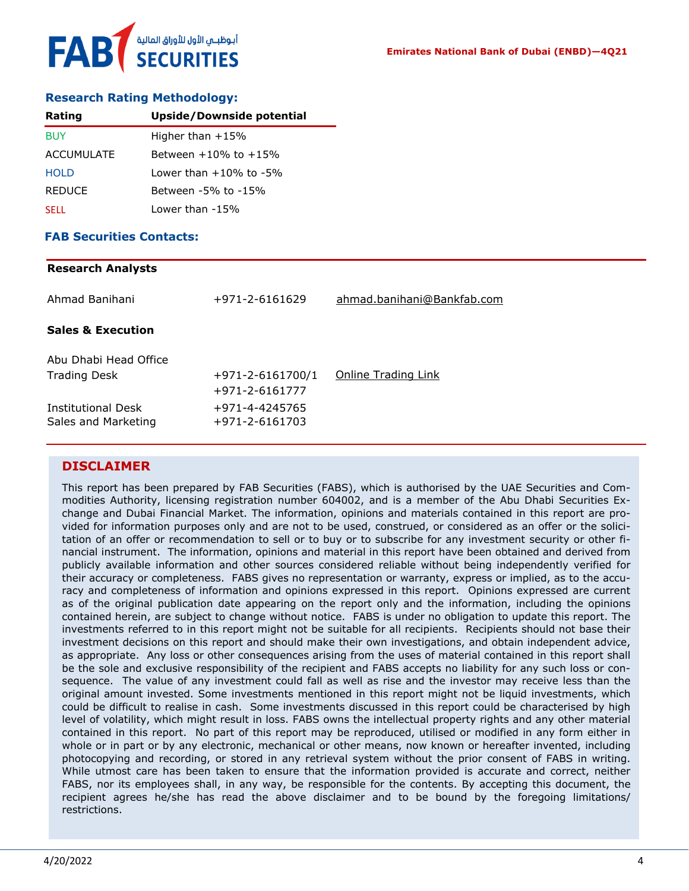

#### **Research Rating Methodology:**

| Rating        | Upside/Downside potential    |
|---------------|------------------------------|
| <b>BUY</b>    | Higher than $+15%$           |
| ACCUMULATE    | Between $+10\%$ to $+15\%$   |
| <b>HOLD</b>   | Lower than $+10\%$ to $-5\%$ |
| <b>REDUCE</b> | Between -5% to -15%          |
| <b>SELL</b>   | Lower than -15%              |

#### **FAB Securities Contacts:**

### **Research Analysts**

| Ahmad Banihani                            | +971-2-6161629                           | ahmad.banihani@Bankfab.com |
|-------------------------------------------|------------------------------------------|----------------------------|
| <b>Sales &amp; Execution</b>              |                                          |                            |
| Abu Dhabi Head Office                     |                                          |                            |
| <b>Trading Desk</b>                       | $+971 - 2 - 6161700/1$<br>+971-2-6161777 | Online Trading Link        |
| Institutional Desk<br>Sales and Marketing | +971-4-4245765<br>+971-2-6161703         |                            |
|                                           |                                          |                            |

### **DISCLAIMER**

This report has been prepared by FAB Securities (FABS), which is authorised by the UAE Securities and Commodities Authority, licensing registration number 604002, and is a member of the Abu Dhabi Securities Exchange and Dubai Financial Market. The information, opinions and materials contained in this report are provided for information purposes only and are not to be used, construed, or considered as an offer or the solicitation of an offer or recommendation to sell or to buy or to subscribe for any investment security or other financial instrument. The information, opinions and material in this report have been obtained and derived from publicly available information and other sources considered reliable without being independently verified for their accuracy or completeness. FABS gives no representation or warranty, express or implied, as to the accuracy and completeness of information and opinions expressed in this report. Opinions expressed are current as of the original publication date appearing on the report only and the information, including the opinions contained herein, are subject to change without notice. FABS is under no obligation to update this report. The investments referred to in this report might not be suitable for all recipients. Recipients should not base their investment decisions on this report and should make their own investigations, and obtain independent advice, as appropriate. Any loss or other consequences arising from the uses of material contained in this report shall be the sole and exclusive responsibility of the recipient and FABS accepts no liability for any such loss or consequence. The value of any investment could fall as well as rise and the investor may receive less than the original amount invested. Some investments mentioned in this report might not be liquid investments, which could be difficult to realise in cash. Some investments discussed in this report could be characterised by high level of volatility, which might result in loss. FABS owns the intellectual property rights and any other material contained in this report. No part of this report may be reproduced, utilised or modified in any form either in whole or in part or by any electronic, mechanical or other means, now known or hereafter invented, including photocopying and recording, or stored in any retrieval system without the prior consent of FABS in writing. While utmost care has been taken to ensure that the information provided is accurate and correct, neither FABS, nor its employees shall, in any way, be responsible for the contents. By accepting this document, the recipient agrees he/she has read the above disclaimer and to be bound by the foregoing limitations/ restrictions.